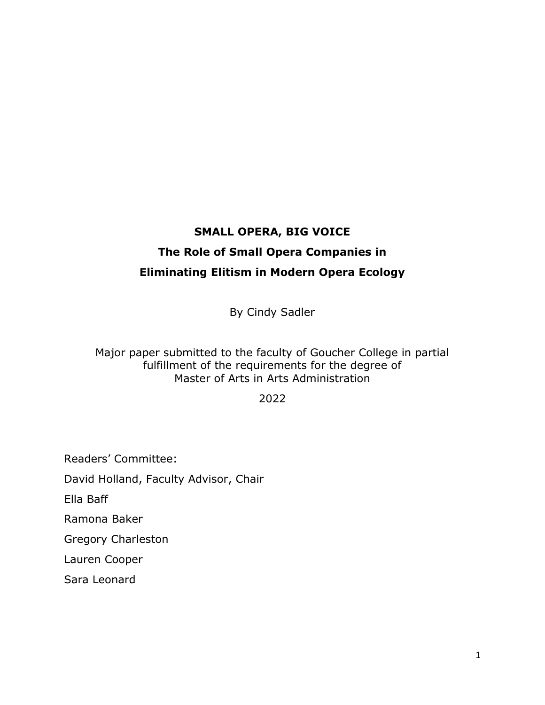# **SMALL OPERA, BIG VOICE The Role of Small Opera Companies in Eliminating Elitism in Modern Opera Ecology**

By Cindy Sadler

Major paper submitted to the faculty of Goucher College in partial fulfillment of the requirements for the degree of Master of Arts in Arts Administration

2022

Readers' Committee:

David Holland, Faculty Advisor, Chair

Ella Baff

Ramona Baker

Gregory Charleston

Lauren Cooper

Sara Leonard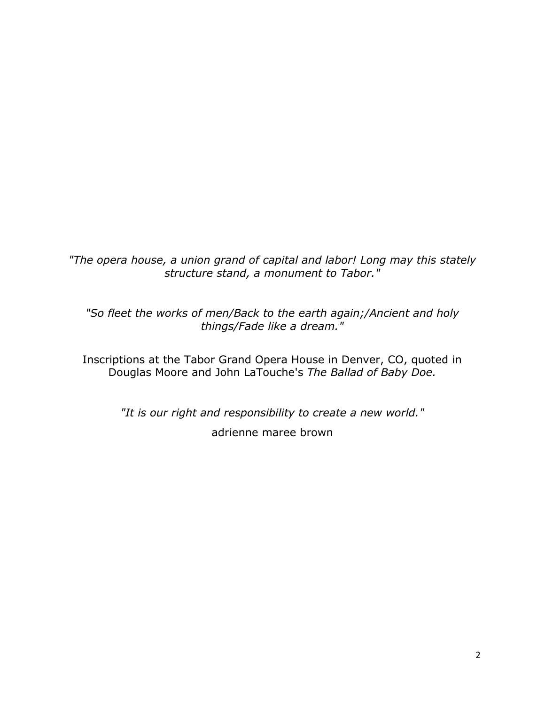*"The opera house, a union grand of capital and labor! Long may this stately structure stand, a monument to Tabor."*

*"So fleet the works of men/Back to the earth again;/Ancient and holy things/Fade like a dream."*

Inscriptions at the Tabor Grand Opera House in Denver, CO, quoted in Douglas Moore and John LaTouche's *The Ballad of Baby Doe.*

> *"It is our right and responsibility to create a new world."* adrienne maree brown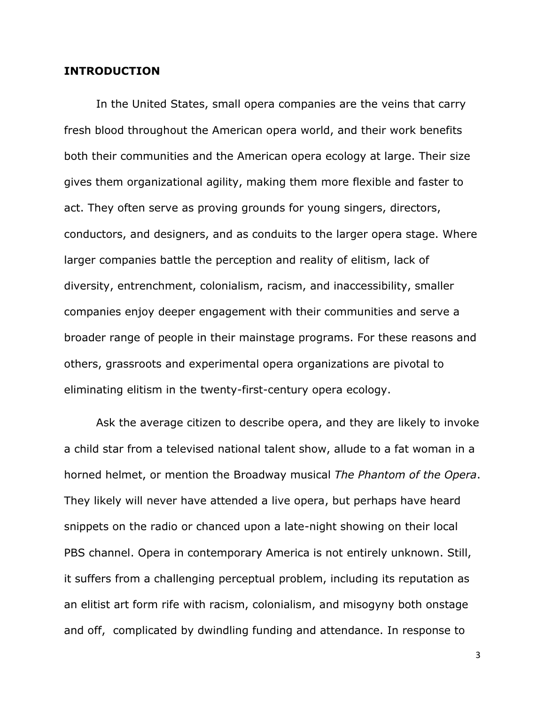## **INTRODUCTION**

In the United States, small opera companies are the veins that carry fresh blood throughout the American opera world, and their work benefits both their communities and the American opera ecology at large. Their size gives them organizational agility, making them more flexible and faster to act. They often serve as proving grounds for young singers, directors, conductors, and designers, and as conduits to the larger opera stage. Where larger companies battle the perception and reality of elitism, lack of diversity, entrenchment, colonialism, racism, and inaccessibility, smaller companies enjoy deeper engagement with their communities and serve a broader range of people in their mainstage programs. For these reasons and others, grassroots and experimental opera organizations are pivotal to eliminating elitism in the twenty-first-century opera ecology.

Ask the average citizen to describe opera, and they are likely to invoke a child star from a televised national talent show, allude to a fat woman in a horned helmet, or mention the Broadway musical *The Phantom of the Opera*. They likely will never have attended a live opera, but perhaps have heard snippets on the radio or chanced upon a late-night showing on their local PBS channel. Opera in contemporary America is not entirely unknown. Still, it suffers from a challenging perceptual problem, including its reputation as an elitist art form rife with racism, colonialism, and misogyny both onstage and off, complicated by dwindling funding and attendance. In response to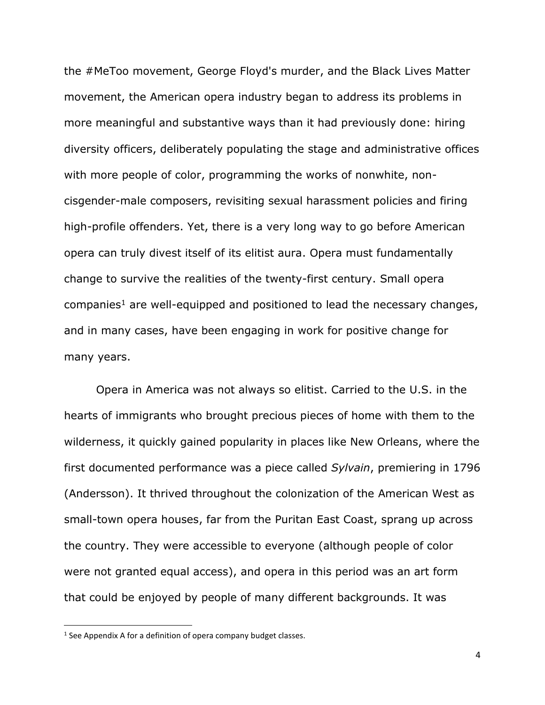the #MeToo movement, George Floyd's murder, and the Black Lives Matter movement, the American opera industry began to address its problems in more meaningful and substantive ways than it had previously done: hiring diversity officers, deliberately populating the stage and administrative offices with more people of color, programming the works of nonwhite, noncisgender-male composers, revisiting sexual harassment policies and firing high-profile offenders. Yet, there is a very long way to go before American opera can truly divest itself of its elitist aura. Opera must fundamentally change to survive the realities of the twenty-first century. Small opera companies<sup>1</sup> are well-equipped and positioned to lead the necessary changes, and in many cases, have been engaging in work for positive change for many years.

Opera in America was not always so elitist. Carried to the U.S. in the hearts of immigrants who brought precious pieces of home with them to the wilderness, it quickly gained popularity in places like New Orleans, where the first documented performance was a piece called *Sylvain*, premiering in 1796 (Andersson). It thrived throughout the colonization of the American West as small-town opera houses, far from the Puritan East Coast, sprang up across the country. They were accessible to everyone (although people of color were not granted equal access), and opera in this period was an art form that could be enjoyed by people of many different backgrounds. It was

 $<sup>1</sup>$  See Appendix A for a definition of opera company budget classes.</sup>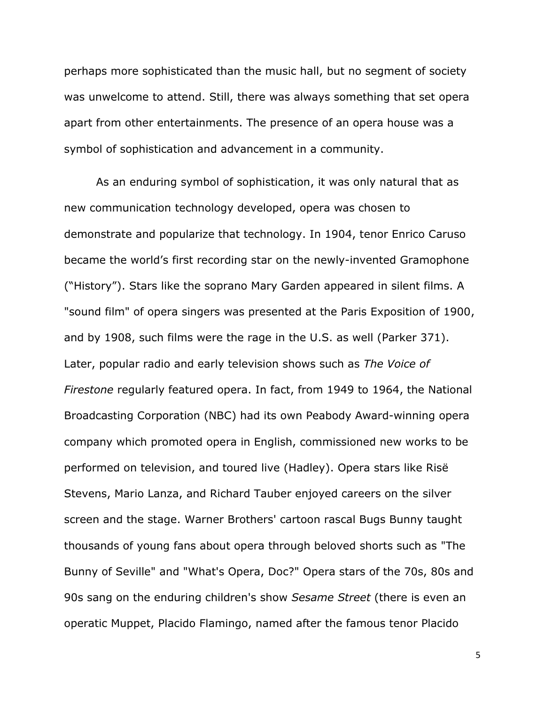perhaps more sophisticated than the music hall, but no segment of society was unwelcome to attend. Still, there was always something that set opera apart from other entertainments. The presence of an opera house was a symbol of sophistication and advancement in a community.

As an enduring symbol of sophistication, it was only natural that as new communication technology developed, opera was chosen to demonstrate and popularize that technology. In 1904, tenor Enrico Caruso became the world's first recording star on the newly-invented Gramophone ("History"). Stars like the soprano Mary Garden appeared in silent films. A "sound film" of opera singers was presented at the Paris Exposition of 1900, and by 1908, such films were the rage in the U.S. as well (Parker 371). Later, popular radio and early television shows such as *The Voice of Firestone* regularly featured opera. In fact, from 1949 to 1964, the National Broadcasting Corporation (NBC) had its own Peabody Award-winning opera company which promoted opera in English, commissioned new works to be performed on television, and toured live (Hadley). Opera stars like Risë Stevens, Mario Lanza, and Richard Tauber enjoyed careers on the silver screen and the stage. Warner Brothers' cartoon rascal Bugs Bunny taught thousands of young fans about opera through beloved shorts such as "The Bunny of Seville" and "What's Opera, Doc?" Opera stars of the 70s, 80s and 90s sang on the enduring children's show *Sesame Street* (there is even an operatic Muppet, Placido Flamingo, named after the famous tenor Placido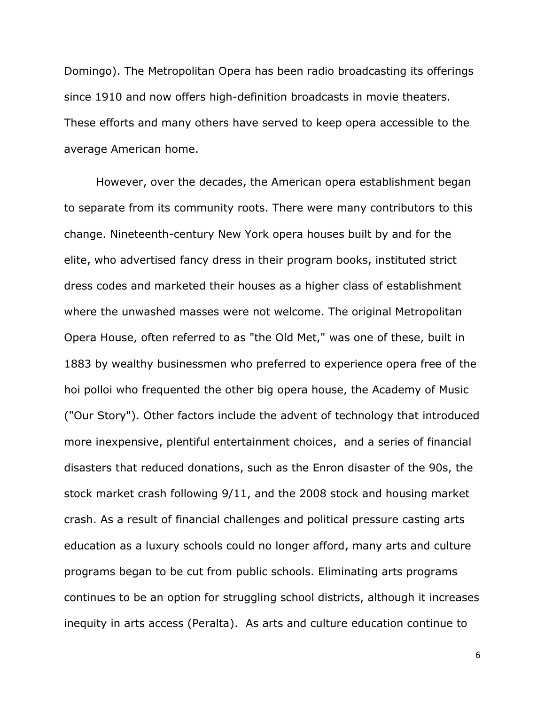Domingo). The Metropolitan Opera has been radio broadcasting its offerings since 1910 and now offers high-definition broadcasts in movie theaters. These efforts and many others have served to keep opera accessible to the average American home.

However, over the decades, the American opera establishment began to separate from its community roots. There were many contributors to this change. Nineteenth-century New York opera houses built by and for the elite, who advertised fancy dress in their program books, instituted strict dress codes and marketed their houses as a higher class of establishment where the unwashed masses were not welcome. The original Metropolitan Opera House, often referred to as "the Old Met," was one of these, built in 1883 by wealthy businessmen who preferred to experience opera free of the hoi polloi who frequented the other big opera house, the Academy of Music ("Our Story"). Other factors include the advent of technology that introduced more inexpensive, plentiful entertainment choices, and a series of financial disasters that reduced donations, such as the Enron disaster of the 90s, the stock market crash following 9/11, and the 2008 stock and housing market crash. As a result of financial challenges and political pressure casting arts education as a luxury schools could no longer afford, many arts and culture programs began to be cut from public schools. Eliminating arts programs continues to be an option for struggling school districts, although it increases inequity in arts access (Peralta). As arts and culture education continue to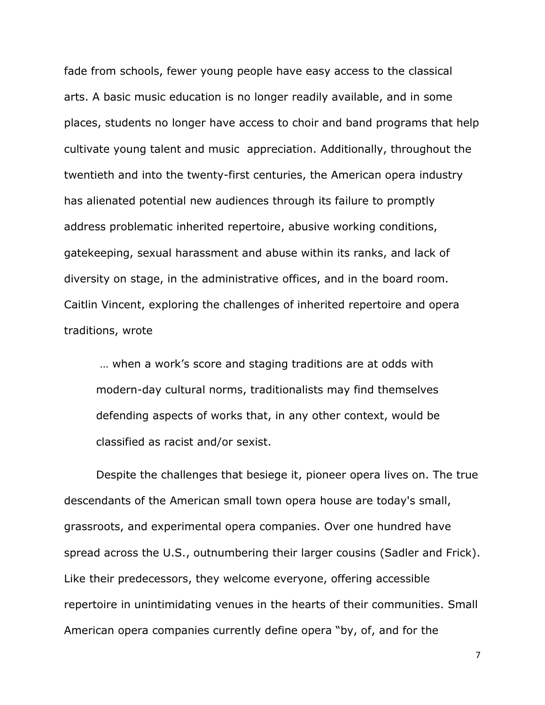fade from schools, fewer young people have easy access to the classical arts. A basic music education is no longer readily available, and in some places, students no longer have access to choir and band programs that help cultivate young talent and music appreciation. Additionally, throughout the twentieth and into the twenty-first centuries, the American opera industry has alienated potential new audiences through its failure to promptly address problematic inherited repertoire, abusive working conditions, gatekeeping, sexual harassment and abuse within its ranks, and lack of diversity on stage, in the administrative offices, and in the board room. Caitlin Vincent, exploring the challenges of inherited repertoire and opera traditions, wrote

… when a work's score and staging traditions are at odds with modern-day cultural norms, traditionalists may find themselves defending aspects of works that, in any other context, would be classified as racist and/or sexist.

Despite the challenges that besiege it, pioneer opera lives on. The true descendants of the American small town opera house are today's small, grassroots, and experimental opera companies. Over one hundred have spread across the U.S., outnumbering their larger cousins (Sadler and Frick). Like their predecessors, they welcome everyone, offering accessible repertoire in unintimidating venues in the hearts of their communities. Small American opera companies currently define opera "by, of, and for the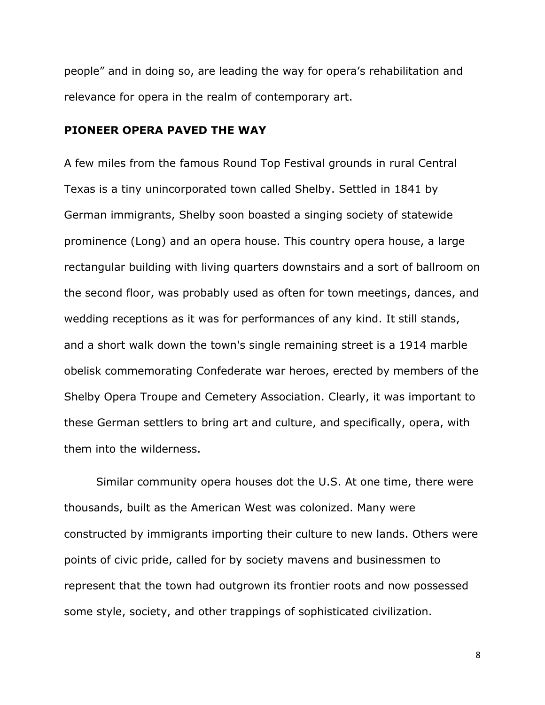people" and in doing so, are leading the way for opera's rehabilitation and relevance for opera in the realm of contemporary art.

#### **PIONEER OPERA PAVED THE WAY**

A few miles from the famous Round Top Festival grounds in rural Central Texas is a tiny unincorporated town called Shelby. Settled in 1841 by German immigrants, Shelby soon boasted a singing society of statewide prominence (Long) and an opera house. This country opera house, a large rectangular building with living quarters downstairs and a sort of ballroom on the second floor, was probably used as often for town meetings, dances, and wedding receptions as it was for performances of any kind. It still stands, and a short walk down the town's single remaining street is a 1914 marble obelisk commemorating Confederate war heroes, erected by members of the Shelby Opera Troupe and Cemetery Association. Clearly, it was important to these German settlers to bring art and culture, and specifically, opera, with them into the wilderness.

Similar community opera houses dot the U.S. At one time, there were thousands, built as the American West was colonized. Many were constructed by immigrants importing their culture to new lands. Others were points of civic pride, called for by society mavens and businessmen to represent that the town had outgrown its frontier roots and now possessed some style, society, and other trappings of sophisticated civilization.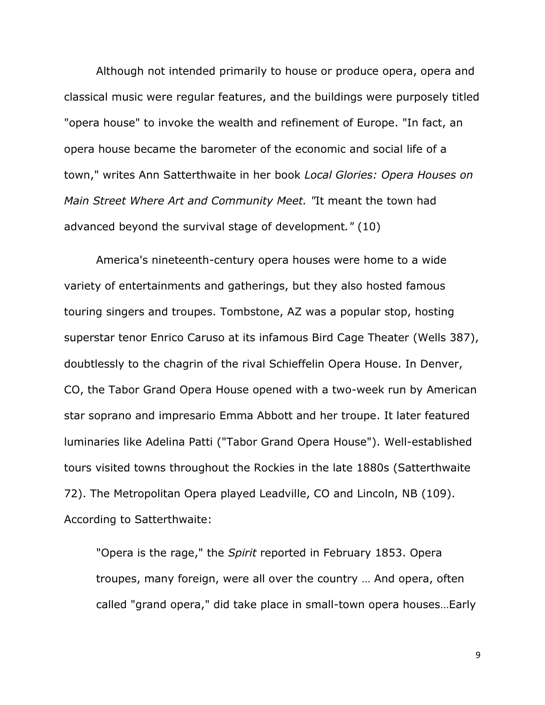Although not intended primarily to house or produce opera, opera and classical music were regular features, and the buildings were purposely titled "opera house" to invoke the wealth and refinement of Europe. "In fact, an opera house became the barometer of the economic and social life of a town," writes Ann Satterthwaite in her book *Local Glories: Opera Houses on Main Street Where Art and Community Meet. "*It meant the town had advanced beyond the survival stage of development*."* (10)

America's nineteenth-century opera houses were home to a wide variety of entertainments and gatherings, but they also hosted famous touring singers and troupes. Tombstone, AZ was a popular stop, hosting superstar tenor Enrico Caruso at its infamous Bird Cage Theater (Wells 387), doubtlessly to the chagrin of the rival Schieffelin Opera House. In Denver, CO, the Tabor Grand Opera House opened with a two-week run by American star soprano and impresario Emma Abbott and her troupe. It later featured luminaries like Adelina Patti ("Tabor Grand Opera House"). Well-established tours visited towns throughout the Rockies in the late 1880s (Satterthwaite 72). The Metropolitan Opera played Leadville, CO and Lincoln, NB (109). According to Satterthwaite:

"Opera is the rage," the *Spirit* reported in February 1853. Opera troupes, many foreign, were all over the country … And opera, often called "grand opera," did take place in small-town opera houses…Early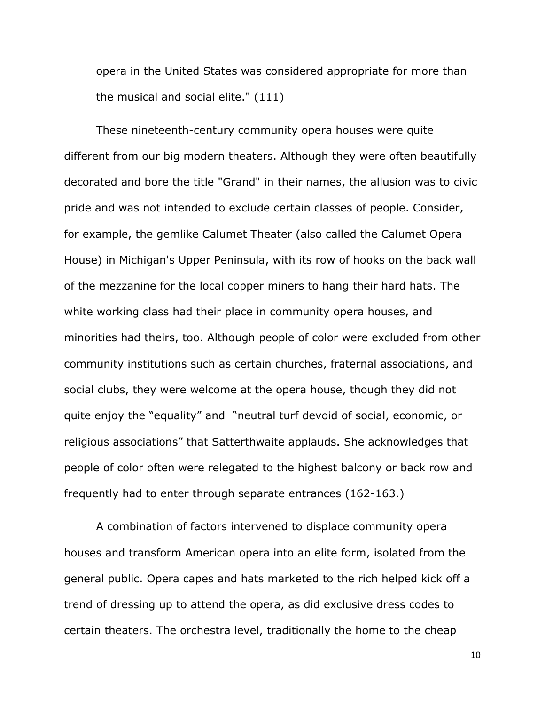opera in the United States was considered appropriate for more than the musical and social elite." (111)

These nineteenth-century community opera houses were quite different from our big modern theaters. Although they were often beautifully decorated and bore the title "Grand" in their names, the allusion was to civic pride and was not intended to exclude certain classes of people. Consider, for example, the gemlike Calumet Theater (also called the Calumet Opera House) in Michigan's Upper Peninsula, with its row of hooks on the back wall of the mezzanine for the local copper miners to hang their hard hats. The white working class had their place in community opera houses, and minorities had theirs, too. Although people of color were excluded from other community institutions such as certain churches, fraternal associations, and social clubs, they were welcome at the opera house, though they did not quite enjoy the "equality" and "neutral turf devoid of social, economic, or religious associations" that Satterthwaite applauds. She acknowledges that people of color often were relegated to the highest balcony or back row and frequently had to enter through separate entrances (162-163.)

A combination of factors intervened to displace community opera houses and transform American opera into an elite form, isolated from the general public. Opera capes and hats marketed to the rich helped kick off a trend of dressing up to attend the opera, as did exclusive dress codes to certain theaters. The orchestra level, traditionally the home to the cheap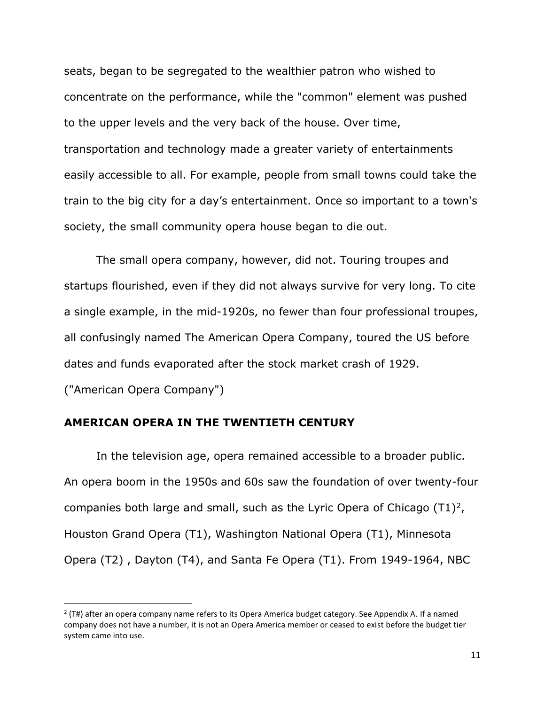seats, began to be segregated to the wealthier patron who wished to concentrate on the performance, while the "common" element was pushed to the upper levels and the very back of the house. Over time, transportation and technology made a greater variety of entertainments easily accessible to all. For example, people from small towns could take the train to the big city for a day's entertainment. Once so important to a town's society, the small community opera house began to die out.

The small opera company, however, did not. Touring troupes and startups flourished, even if they did not always survive for very long. To cite a single example, in the mid-1920s, no fewer than four professional troupes, all confusingly named The American Opera Company, toured the US before dates and funds evaporated after the stock market crash of 1929.

("American Opera Company")

# **AMERICAN OPERA IN THE TWENTIETH CENTURY**

In the television age, opera remained accessible to a broader public. An opera boom in the 1950s and 60s saw the foundation of over twenty-four companies both large and small, such as the Lyric Opera of Chicago  $(T1)^2$ , Houston Grand Opera (T1), Washington National Opera (T1), Minnesota Opera (T2) , Dayton (T4), and Santa Fe Opera (T1). From 1949-1964, NBC

<sup>2</sup> (T#) after an opera company name refers to its Opera America budget category. See Appendix A. If a named company does not have a number, it is not an Opera America member or ceased to exist before the budget tier system came into use.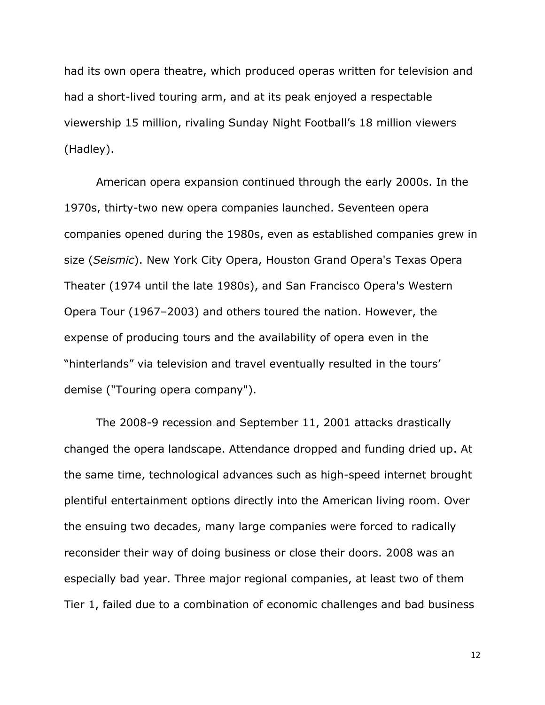had its own opera theatre, which produced operas written for television and had a short-lived touring arm, and at its peak enjoyed a respectable viewership 15 million, rivaling Sunday Night Football's 18 million viewers (Hadley).

American opera expansion continued through the early 2000s. In the 1970s, thirty-two new opera companies launched. Seventeen opera companies opened during the 1980s, even as established companies grew in size (*Seismic*). New York City Opera, Houston Grand Opera's Texas Opera Theater (1974 until the late 1980s), and San Francisco Opera's Western Opera Tour (1967–2003) and others toured the nation. However, the expense of producing tours and the availability of opera even in the "hinterlands" via television and travel eventually resulted in the tours' demise ("Touring opera company").

The 2008-9 recession and September 11, 2001 attacks drastically changed the opera landscape. Attendance dropped and funding dried up. At the same time, technological advances such as high-speed internet brought plentiful entertainment options directly into the American living room. Over the ensuing two decades, many large companies were forced to radically reconsider their way of doing business or close their doors. 2008 was an especially bad year. Three major regional companies, at least two of them Tier 1, failed due to a combination of economic challenges and bad business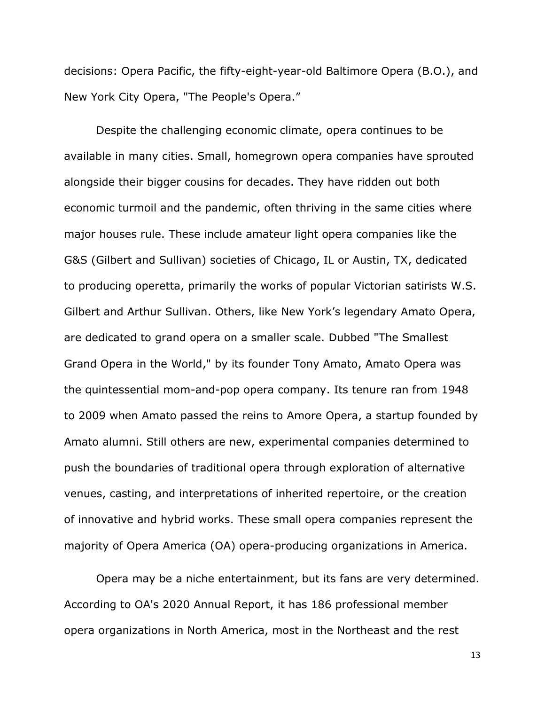decisions: Opera Pacific, the fifty-eight-year-old Baltimore Opera (B.O.), and New York City Opera, "The People's Opera."

Despite the challenging economic climate, opera continues to be available in many cities. Small, homegrown opera companies have sprouted alongside their bigger cousins for decades. They have ridden out both economic turmoil and the pandemic, often thriving in the same cities where major houses rule. These include amateur light opera companies like the G&S (Gilbert and Sullivan) societies of Chicago, IL or Austin, TX, dedicated to producing operetta, primarily the works of popular Victorian satirists W.S. Gilbert and Arthur Sullivan. Others, like New York's legendary Amato Opera, are dedicated to grand opera on a smaller scale. Dubbed "The Smallest Grand Opera in the World," by its founder Tony Amato, Amato Opera was the quintessential mom-and-pop opera company. Its tenure ran from 1948 to 2009 when Amato passed the reins to Amore Opera, a startup founded by Amato alumni. Still others are new, experimental companies determined to push the boundaries of traditional opera through exploration of alternative venues, casting, and interpretations of inherited repertoire, or the creation of innovative and hybrid works. These small opera companies represent the majority of Opera America (OA) opera-producing organizations in America.

Opera may be a niche entertainment, but its fans are very determined. According to OA's 2020 Annual Report, it has 186 professional member opera organizations in North America, most in the Northeast and the rest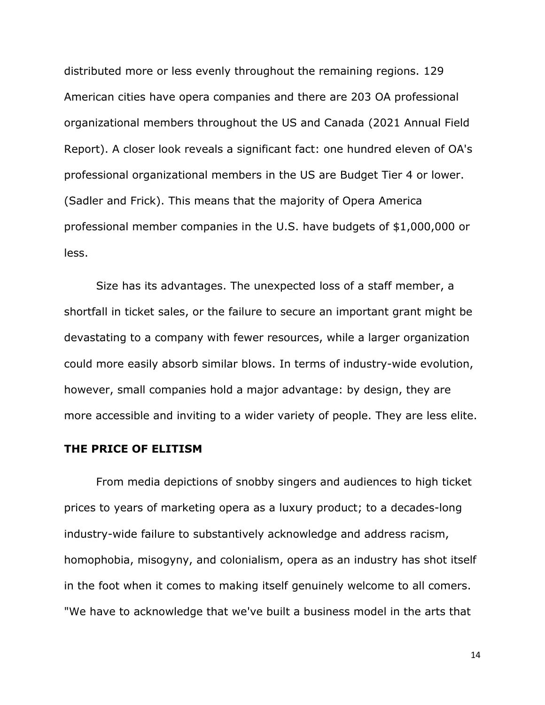distributed more or less evenly throughout the remaining regions. 129 American cities have opera companies and there are 203 OA professional organizational members throughout the US and Canada (2021 Annual Field Report). A closer look reveals a significant fact: one hundred eleven of OA's professional organizational members in the US are Budget Tier 4 or lower. (Sadler and Frick). This means that the majority of Opera America professional member companies in the U.S. have budgets of \$1,000,000 or less.

Size has its advantages. The unexpected loss of a staff member, a shortfall in ticket sales, or the failure to secure an important grant might be devastating to a company with fewer resources, while a larger organization could more easily absorb similar blows. In terms of industry-wide evolution, however, small companies hold a major advantage: by design, they are more accessible and inviting to a wider variety of people. They are less elite.

### **THE PRICE OF ELITISM**

From media depictions of snobby singers and audiences to high ticket prices to years of marketing opera as a luxury product; to a decades-long industry-wide failure to substantively acknowledge and address racism, homophobia, misogyny, and colonialism, opera as an industry has shot itself in the foot when it comes to making itself genuinely welcome to all comers. "We have to acknowledge that we've built a business model in the arts that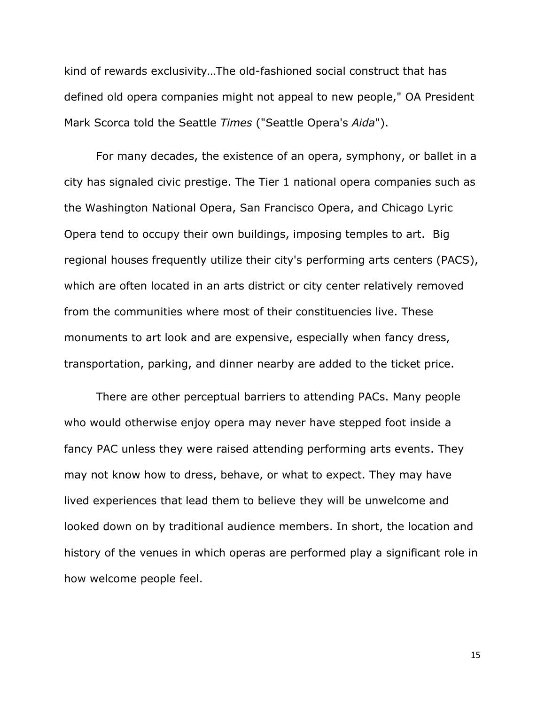kind of rewards exclusivity…The old-fashioned social construct that has defined old opera companies might not appeal to new people," OA President Mark Scorca told the Seattle *Times* ("Seattle Opera's *Aida*").

For many decades, the existence of an opera, symphony, or ballet in a city has signaled civic prestige. The Tier 1 national opera companies such as the Washington National Opera, San Francisco Opera, and Chicago Lyric Opera tend to occupy their own buildings, imposing temples to art. Big regional houses frequently utilize their city's performing arts centers (PACS), which are often located in an arts district or city center relatively removed from the communities where most of their constituencies live. These monuments to art look and are expensive, especially when fancy dress, transportation, parking, and dinner nearby are added to the ticket price.

There are other perceptual barriers to attending PACs. Many people who would otherwise enjoy opera may never have stepped foot inside a fancy PAC unless they were raised attending performing arts events. They may not know how to dress, behave, or what to expect. They may have lived experiences that lead them to believe they will be unwelcome and looked down on by traditional audience members. In short, the location and history of the venues in which operas are performed play a significant role in how welcome people feel.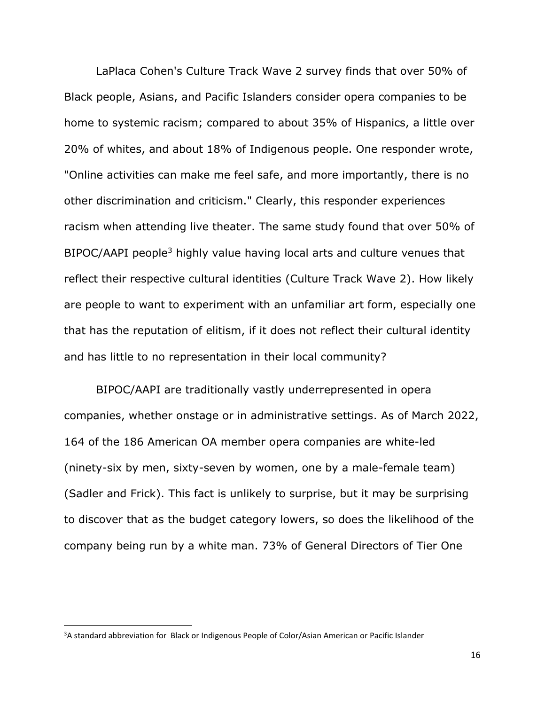LaPlaca Cohen's Culture Track Wave 2 survey finds that over 50% of Black people, Asians, and Pacific Islanders consider opera companies to be home to systemic racism; compared to about 35% of Hispanics, a little over 20% of whites, and about 18% of Indigenous people. One responder wrote, "Online activities can make me feel safe, and more importantly, there is no other discrimination and criticism." Clearly, this responder experiences racism when attending live theater. The same study found that over 50% of BIPOC/AAPI people<sup>3</sup> highly value having local arts and culture venues that reflect their respective cultural identities (Culture Track Wave 2). How likely are people to want to experiment with an unfamiliar art form, especially one that has the reputation of elitism, if it does not reflect their cultural identity and has little to no representation in their local community?

BIPOC/AAPI are traditionally vastly underrepresented in opera companies, whether onstage or in administrative settings. As of March 2022, 164 of the 186 American OA member opera companies are white-led (ninety-six by men, sixty-seven by women, one by a male-female team) (Sadler and Frick). This fact is unlikely to surprise, but it may be surprising to discover that as the budget category lowers, so does the likelihood of the company being run by a white man. 73% of General Directors of Tier One

<sup>&</sup>lt;sup>3</sup>A standard abbreviation for Black or Indigenous People of Color/Asian American or Pacific Islander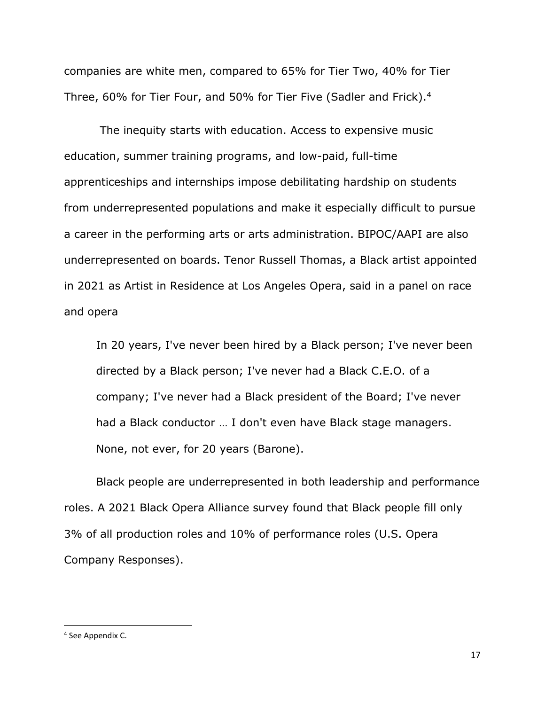companies are white men, compared to 65% for Tier Two, 40% for Tier Three, 60% for Tier Four, and 50% for Tier Five (Sadler and Frick).<sup>4</sup>

The inequity starts with education. Access to expensive music education, summer training programs, and low-paid, full-time apprenticeships and internships impose debilitating hardship on students from underrepresented populations and make it especially difficult to pursue a career in the performing arts or arts administration. BIPOC/AAPI are also underrepresented on boards. Tenor Russell Thomas, a Black artist appointed in 2021 as Artist in Residence at Los Angeles Opera, said in a panel on race and opera

In 20 years, I've never been hired by a Black person; I've never been directed by a Black person; I've never had a Black C.E.O. of a company; I've never had a Black president of the Board; I've never had a Black conductor … I don't even have Black stage managers. None, not ever, for 20 years (Barone).

Black people are underrepresented in both leadership and performance roles. A 2021 Black Opera Alliance survey found that Black people fill only 3% of all production roles and 10% of performance roles (U.S. Opera Company Responses).

<sup>4</sup> See Appendix C.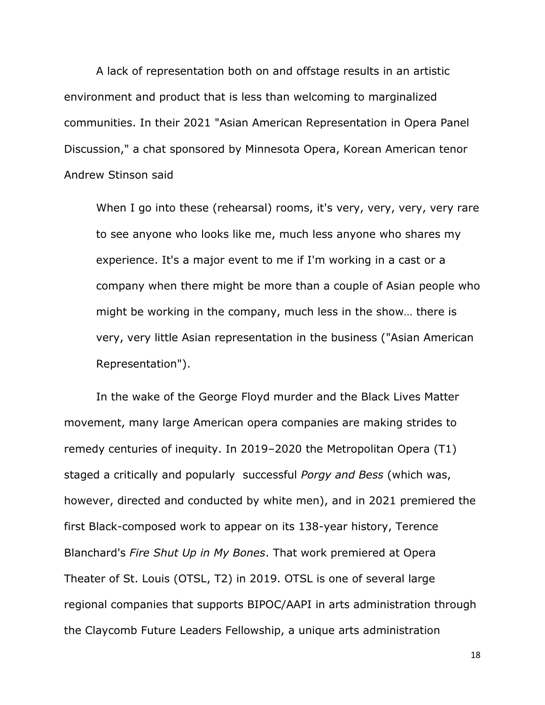A lack of representation both on and offstage results in an artistic environment and product that is less than welcoming to marginalized communities. In their 2021 "Asian American Representation in Opera Panel Discussion," a chat sponsored by Minnesota Opera, Korean American tenor Andrew Stinson said

When I go into these (rehearsal) rooms, it's very, very, very, very rare to see anyone who looks like me, much less anyone who shares my experience. It's a major event to me if I'm working in a cast or a company when there might be more than a couple of Asian people who might be working in the company, much less in the show… there is very, very little Asian representation in the business ("Asian American Representation").

In the wake of the George Floyd murder and the Black Lives Matter movement, many large American opera companies are making strides to remedy centuries of inequity. In 2019–2020 the Metropolitan Opera (T1) staged a critically and popularly successful *Porgy and Bess* (which was, however, directed and conducted by white men), and in 2021 premiered the first Black-composed work to appear on its 138-year history, Terence Blanchard's *Fire Shut Up in My Bones*. That work premiered at Opera Theater of St. Louis (OTSL, T2) in 2019. OTSL is one of several large regional companies that supports BIPOC/AAPI in arts administration through the Claycomb Future Leaders Fellowship, a unique arts administration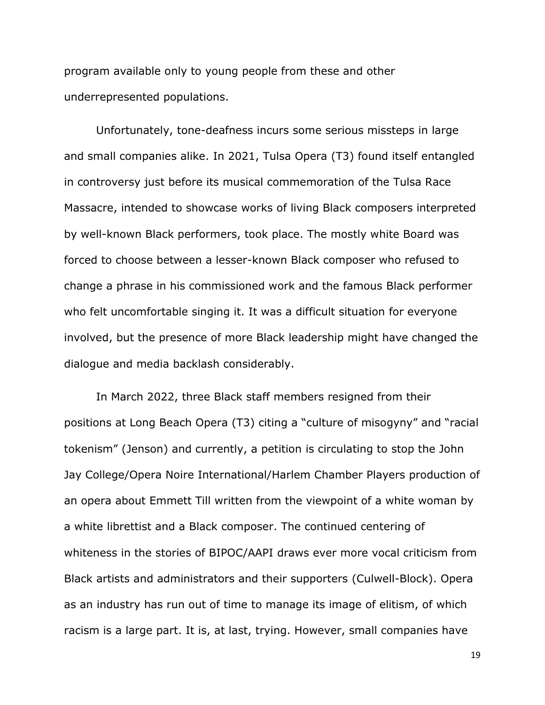program available only to young people from these and other underrepresented populations.

Unfortunately, tone-deafness incurs some serious missteps in large and small companies alike. In 2021, Tulsa Opera (T3) found itself entangled in controversy just before its musical commemoration of the Tulsa Race Massacre, intended to showcase works of living Black composers interpreted by well-known Black performers, took place. The mostly white Board was forced to choose between a lesser-known Black composer who refused to change a phrase in his commissioned work and the famous Black performer who felt uncomfortable singing it. It was a difficult situation for everyone involved, but the presence of more Black leadership might have changed the dialogue and media backlash considerably.

In March 2022, three Black staff members resigned from their positions at Long Beach Opera (T3) citing a "culture of misogyny" and "racial tokenism" (Jenson) and currently, a petition is circulating to stop the John Jay College/Opera Noire International/Harlem Chamber Players production of an opera about Emmett Till written from the viewpoint of a white woman by a white librettist and a Black composer. The continued centering of whiteness in the stories of BIPOC/AAPI draws ever more vocal criticism from Black artists and administrators and their supporters (Culwell-Block). Opera as an industry has run out of time to manage its image of elitism, of which racism is a large part. It is, at last, trying. However, small companies have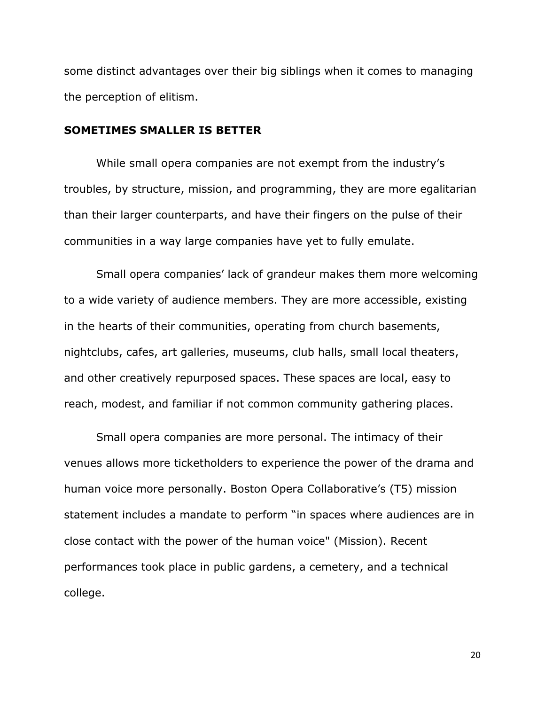some distinct advantages over their big siblings when it comes to managing the perception of elitism.

#### **SOMETIMES SMALLER IS BETTER**

While small opera companies are not exempt from the industry's troubles, by structure, mission, and programming, they are more egalitarian than their larger counterparts, and have their fingers on the pulse of their communities in a way large companies have yet to fully emulate.

Small opera companies' lack of grandeur makes them more welcoming to a wide variety of audience members. They are more accessible, existing in the hearts of their communities, operating from church basements, nightclubs, cafes, art galleries, museums, club halls, small local theaters, and other creatively repurposed spaces. These spaces are local, easy to reach, modest, and familiar if not common community gathering places.

Small opera companies are more personal. The intimacy of their venues allows more ticketholders to experience the power of the drama and human voice more personally. Boston Opera Collaborative's (T5) mission statement includes a mandate to perform "in spaces where audiences are in close contact with the power of the human voice" (Mission). Recent performances took place in public gardens, a cemetery, and a technical college.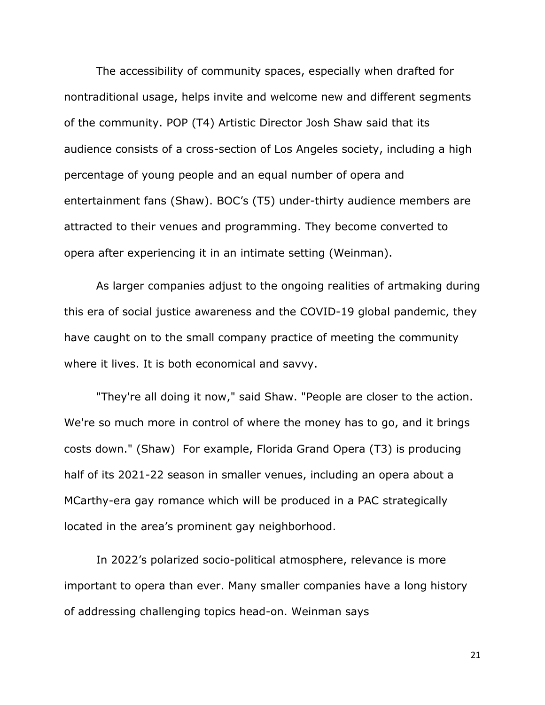The accessibility of community spaces, especially when drafted for nontraditional usage, helps invite and welcome new and different segments of the community. POP (T4) Artistic Director Josh Shaw said that its audience consists of a cross-section of Los Angeles society, including a high percentage of young people and an equal number of opera and entertainment fans (Shaw). BOC's (T5) under-thirty audience members are attracted to their venues and programming. They become converted to opera after experiencing it in an intimate setting (Weinman).

As larger companies adjust to the ongoing realities of artmaking during this era of social justice awareness and the COVID-19 global pandemic, they have caught on to the small company practice of meeting the community where it lives. It is both economical and savvy.

"They're all doing it now," said Shaw. "People are closer to the action. We're so much more in control of where the money has to go, and it brings costs down." (Shaw) For example, Florida Grand Opera (T3) is producing half of its 2021-22 season in smaller venues, including an opera about a MCarthy-era gay romance which will be produced in a PAC strategically located in the area's prominent gay neighborhood.

In 2022's polarized socio-political atmosphere, relevance is more important to opera than ever. Many smaller companies have a long history of addressing challenging topics head-on. Weinman says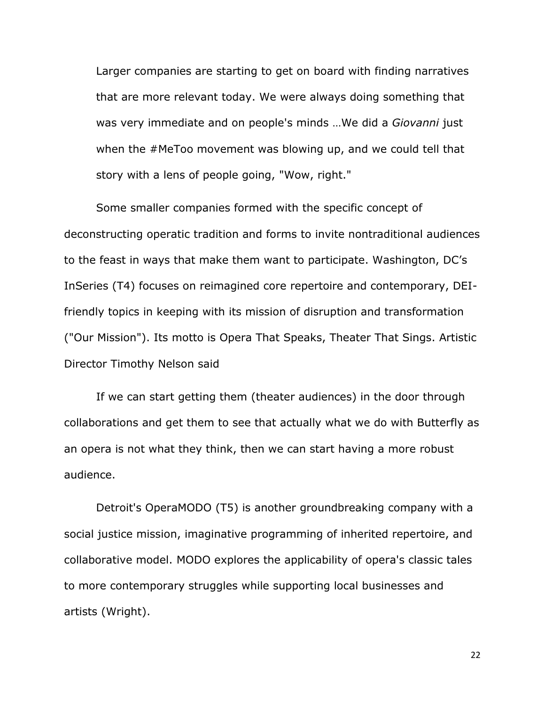Larger companies are starting to get on board with finding narratives that are more relevant today. We were always doing something that was very immediate and on people's minds …We did a *Giovanni* just when the #MeToo movement was blowing up, and we could tell that story with a lens of people going, "Wow, right."

Some smaller companies formed with the specific concept of deconstructing operatic tradition and forms to invite nontraditional audiences to the feast in ways that make them want to participate. Washington, DC's InSeries (T4) focuses on reimagined core repertoire and contemporary, DEIfriendly topics in keeping with its mission of disruption and transformation ("Our Mission"). Its motto is Opera That Speaks, Theater That Sings. Artistic Director Timothy Nelson said

If we can start getting them (theater audiences) in the door through collaborations and get them to see that actually what we do with Butterfly as an opera is not what they think, then we can start having a more robust audience.

Detroit's OperaMODO (T5) is another groundbreaking company with a social justice mission, imaginative programming of inherited repertoire, and collaborative model. MODO explores the applicability of opera's classic tales to more contemporary struggles while supporting local businesses and artists (Wright).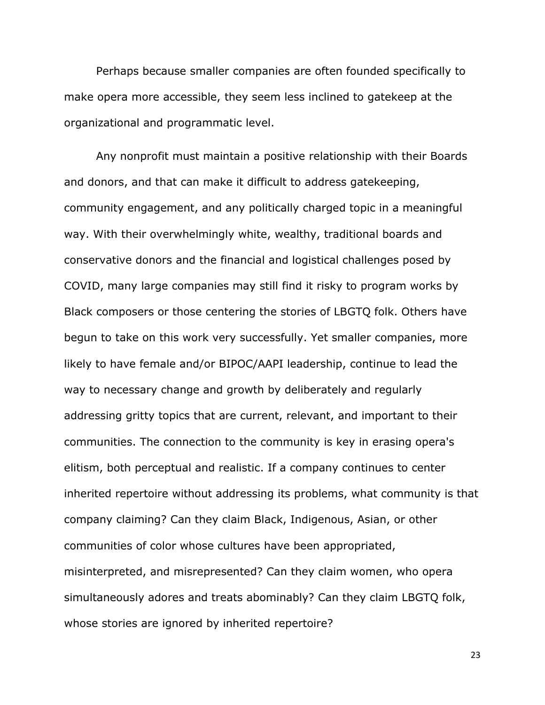Perhaps because smaller companies are often founded specifically to make opera more accessible, they seem less inclined to gatekeep at the organizational and programmatic level.

Any nonprofit must maintain a positive relationship with their Boards and donors, and that can make it difficult to address gatekeeping, community engagement, and any politically charged topic in a meaningful way. With their overwhelmingly white, wealthy, traditional boards and conservative donors and the financial and logistical challenges posed by COVID, many large companies may still find it risky to program works by Black composers or those centering the stories of LBGTQ folk. Others have begun to take on this work very successfully. Yet smaller companies, more likely to have female and/or BIPOC/AAPI leadership, continue to lead the way to necessary change and growth by deliberately and regularly addressing gritty topics that are current, relevant, and important to their communities. The connection to the community is key in erasing opera's elitism, both perceptual and realistic. If a company continues to center inherited repertoire without addressing its problems, what community is that company claiming? Can they claim Black, Indigenous, Asian, or other communities of color whose cultures have been appropriated, misinterpreted, and misrepresented? Can they claim women, who opera simultaneously adores and treats abominably? Can they claim LBGTQ folk, whose stories are ignored by inherited repertoire?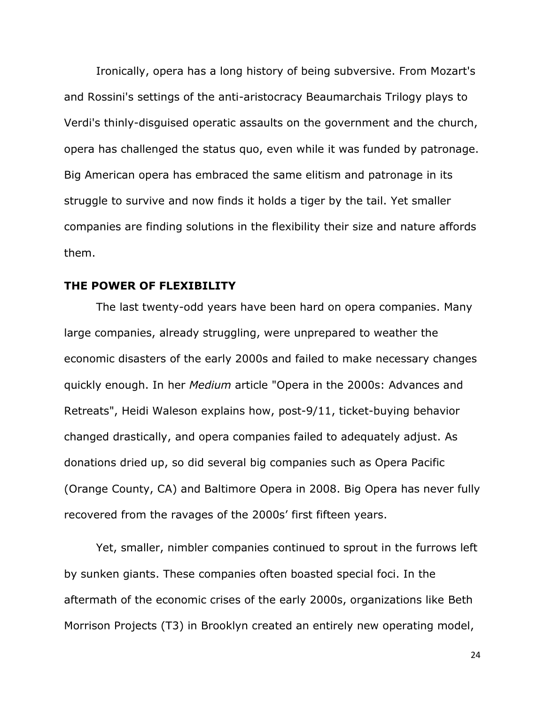Ironically, opera has a long history of being subversive. From Mozart's and Rossini's settings of the anti-aristocracy Beaumarchais Trilogy plays to Verdi's thinly-disguised operatic assaults on the government and the church, opera has challenged the status quo, even while it was funded by patronage. Big American opera has embraced the same elitism and patronage in its struggle to survive and now finds it holds a tiger by the tail. Yet smaller companies are finding solutions in the flexibility their size and nature affords them.

# **THE POWER OF FLEXIBILITY**

The last twenty-odd years have been hard on opera companies. Many large companies, already struggling, were unprepared to weather the economic disasters of the early 2000s and failed to make necessary changes quickly enough. In her *Medium* article "Opera in the 2000s: Advances and Retreats", Heidi Waleson explains how, post-9/11, ticket-buying behavior changed drastically, and opera companies failed to adequately adjust. As donations dried up, so did several big companies such as Opera Pacific (Orange County, CA) and Baltimore Opera in 2008. Big Opera has never fully recovered from the ravages of the 2000s' first fifteen years.

Yet, smaller, nimbler companies continued to sprout in the furrows left by sunken giants. These companies often boasted special foci. In the aftermath of the economic crises of the early 2000s, organizations like Beth Morrison Projects (T3) in Brooklyn created an entirely new operating model,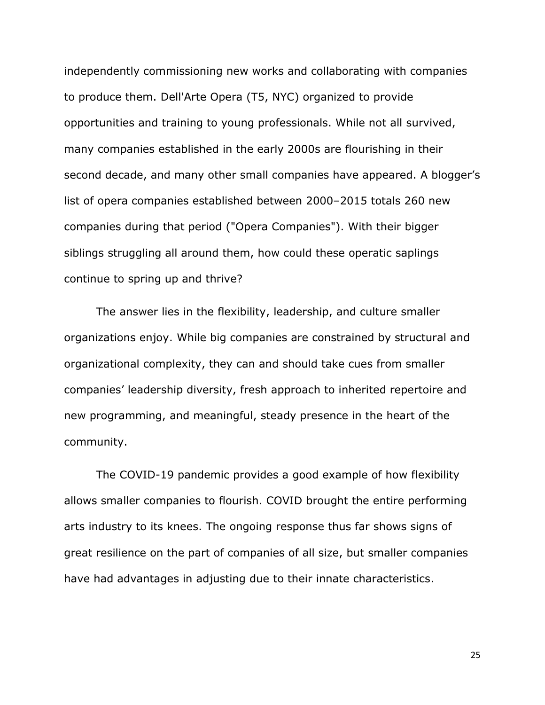independently commissioning new works and collaborating with companies to produce them. Dell'Arte Opera (T5, NYC) organized to provide opportunities and training to young professionals. While not all survived, many companies established in the early 2000s are flourishing in their second decade, and many other small companies have appeared. A blogger's list of opera companies established between 2000–2015 totals 260 new companies during that period ("Opera Companies"). With their bigger siblings struggling all around them, how could these operatic saplings continue to spring up and thrive?

The answer lies in the flexibility, leadership, and culture smaller organizations enjoy. While big companies are constrained by structural and organizational complexity, they can and should take cues from smaller companies' leadership diversity, fresh approach to inherited repertoire and new programming, and meaningful, steady presence in the heart of the community.

The COVID-19 pandemic provides a good example of how flexibility allows smaller companies to flourish. COVID brought the entire performing arts industry to its knees. The ongoing response thus far shows signs of great resilience on the part of companies of all size, but smaller companies have had advantages in adjusting due to their innate characteristics.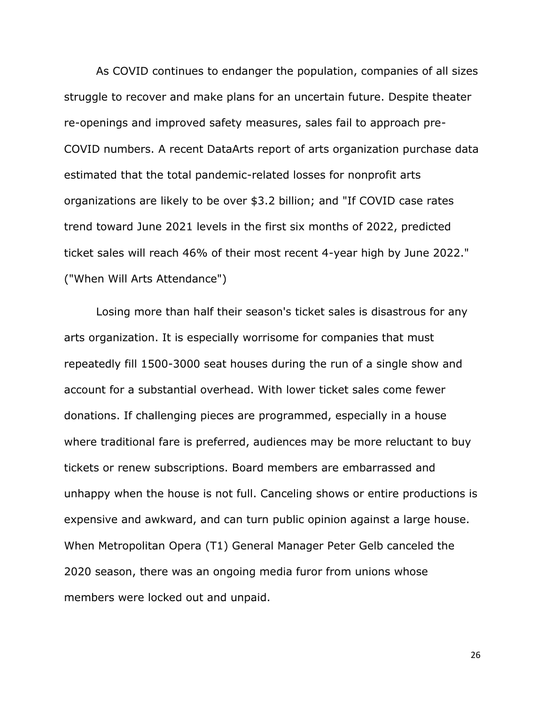As COVID continues to endanger the population, companies of all sizes struggle to recover and make plans for an uncertain future. Despite theater re-openings and improved safety measures, sales fail to approach pre-COVID numbers. A recent DataArts report of arts organization purchase data estimated that the total pandemic-related losses for nonprofit arts organizations are likely to be over \$3.2 billion; and "If COVID case rates trend toward June 2021 levels in the first six months of 2022, predicted ticket sales will reach 46% of their most recent 4-year high by June 2022." ("When Will Arts Attendance")

Losing more than half their season's ticket sales is disastrous for any arts organization. It is especially worrisome for companies that must repeatedly fill 1500-3000 seat houses during the run of a single show and account for a substantial overhead. With lower ticket sales come fewer donations. If challenging pieces are programmed, especially in a house where traditional fare is preferred, audiences may be more reluctant to buy tickets or renew subscriptions. Board members are embarrassed and unhappy when the house is not full. Canceling shows or entire productions is expensive and awkward, and can turn public opinion against a large house. When Metropolitan Opera (T1) General Manager Peter Gelb canceled the 2020 season, there was an ongoing media furor from unions whose members were locked out and unpaid.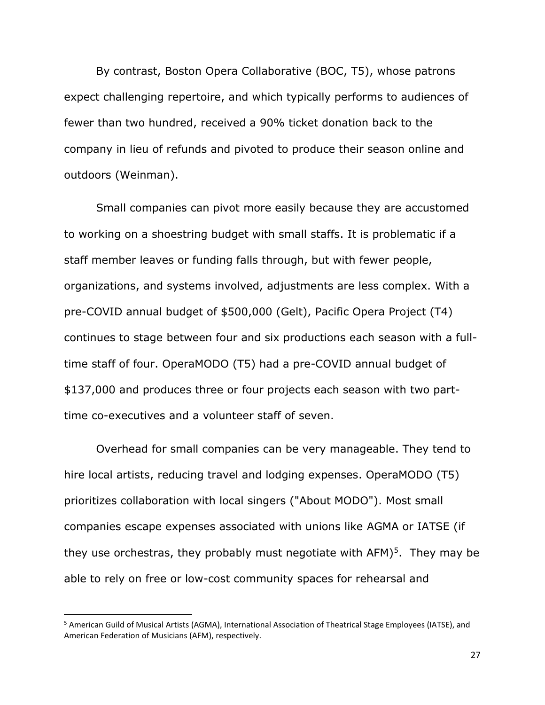By contrast, Boston Opera Collaborative (BOC, T5), whose patrons expect challenging repertoire, and which typically performs to audiences of fewer than two hundred, received a 90% ticket donation back to the company in lieu of refunds and pivoted to produce their season online and outdoors (Weinman).

Small companies can pivot more easily because they are accustomed to working on a shoestring budget with small staffs. It is problematic if a staff member leaves or funding falls through, but with fewer people, organizations, and systems involved, adjustments are less complex. With a pre-COVID annual budget of \$500,000 (Gelt), Pacific Opera Project (T4) continues to stage between four and six productions each season with a fulltime staff of four. OperaMODO (T5) had a pre-COVID annual budget of \$137,000 and produces three or four projects each season with two parttime co-executives and a volunteer staff of seven.

Overhead for small companies can be very manageable. They tend to hire local artists, reducing travel and lodging expenses. OperaMODO (T5) prioritizes collaboration with local singers ("About MODO"). Most small companies escape expenses associated with unions like AGMA or IATSE (if they use orchestras, they probably must negotiate with AFM)<sup>5</sup>. They may be able to rely on free or low-cost community spaces for rehearsal and

<sup>5</sup> American Guild of Musical Artists (AGMA), International Association of Theatrical Stage Employees (IATSE), and American Federation of Musicians (AFM), respectively.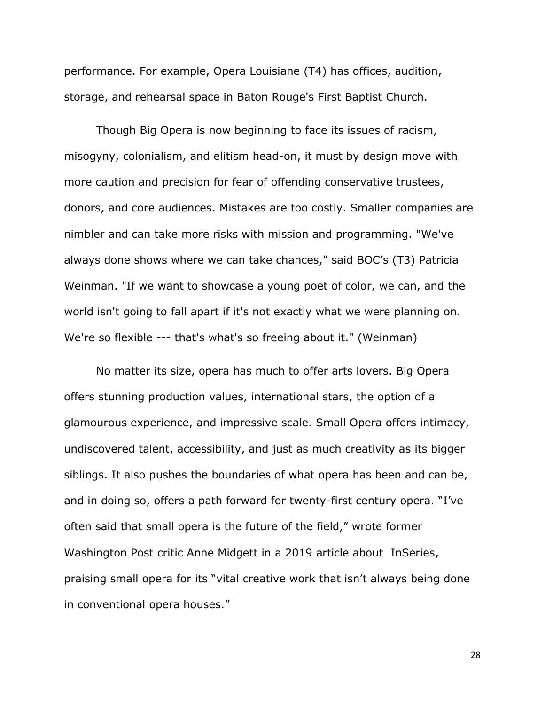performance. For example, Opera Louisiane (T4) has offices, audition, storage, and rehearsal space in Baton Rouge's First Baptist Church.

Though Big Opera is now beginning to face its issues of racism, misogyny, colonialism, and elitism head-on, it must by design move with more caution and precision for fear of offending conservative trustees, donors, and core audiences. Mistakes are too costly. Smaller companies are nimbler and can take more risks with mission and programming. "We've always done shows where we can take chances," said BOC's (T3) Patricia Weinman. "If we want to showcase a young poet of color, we can, and the world isn't going to fall apart if it's not exactly what we were planning on. We're so flexible --- that's what's so freeing about it." (Weinman)

No matter its size, opera has much to offer arts lovers. Big Opera offers stunning production values, international stars, the option of a glamourous experience, and impressive scale. Small Opera offers intimacy, undiscovered talent, accessibility, and just as much creativity as its bigger siblings. It also pushes the boundaries of what opera has been and can be, and in doing so, offers a path forward for twenty-first century opera. "I've often said that small opera is the future of the field," wrote former Washington Post critic Anne Midgett in a 2019 article about InSeries, praising small opera for its "vital creative work that isn't always being done in conventional opera houses."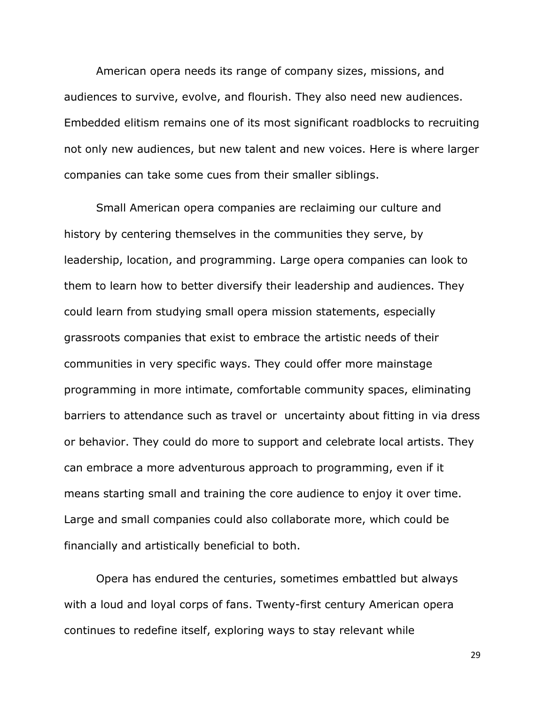American opera needs its range of company sizes, missions, and audiences to survive, evolve, and flourish. They also need new audiences. Embedded elitism remains one of its most significant roadblocks to recruiting not only new audiences, but new talent and new voices. Here is where larger companies can take some cues from their smaller siblings.

Small American opera companies are reclaiming our culture and history by centering themselves in the communities they serve, by leadership, location, and programming. Large opera companies can look to them to learn how to better diversify their leadership and audiences. They could learn from studying small opera mission statements, especially grassroots companies that exist to embrace the artistic needs of their communities in very specific ways. They could offer more mainstage programming in more intimate, comfortable community spaces, eliminating barriers to attendance such as travel or uncertainty about fitting in via dress or behavior. They could do more to support and celebrate local artists. They can embrace a more adventurous approach to programming, even if it means starting small and training the core audience to enjoy it over time. Large and small companies could also collaborate more, which could be financially and artistically beneficial to both.

Opera has endured the centuries, sometimes embattled but always with a loud and loyal corps of fans. Twenty-first century American opera continues to redefine itself, exploring ways to stay relevant while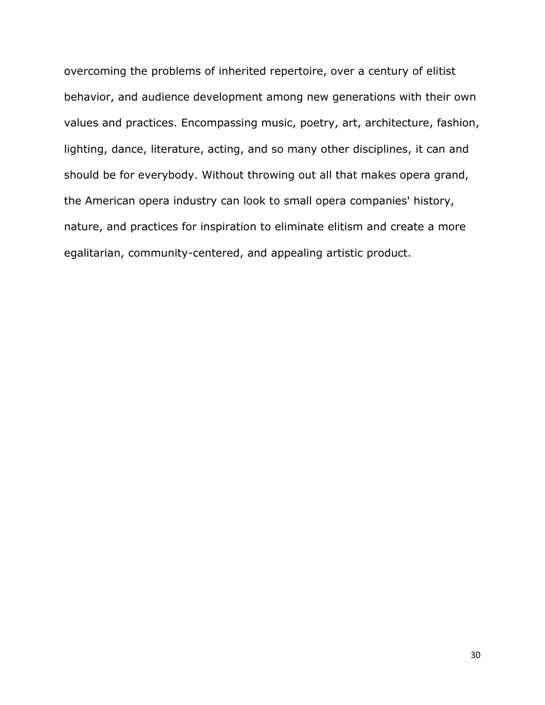overcoming the problems of inherited repertoire, over a century of elitist behavior, and audience development among new generations with their own values and practices. Encompassing music, poetry, art, architecture, fashion, lighting, dance, literature, acting, and so many other disciplines, it can and should be for everybody. Without throwing out all that makes opera grand, the American opera industry can look to small opera companies' history, nature, and practices for inspiration to eliminate elitism and create a more egalitarian, community-centered, and appealing artistic product.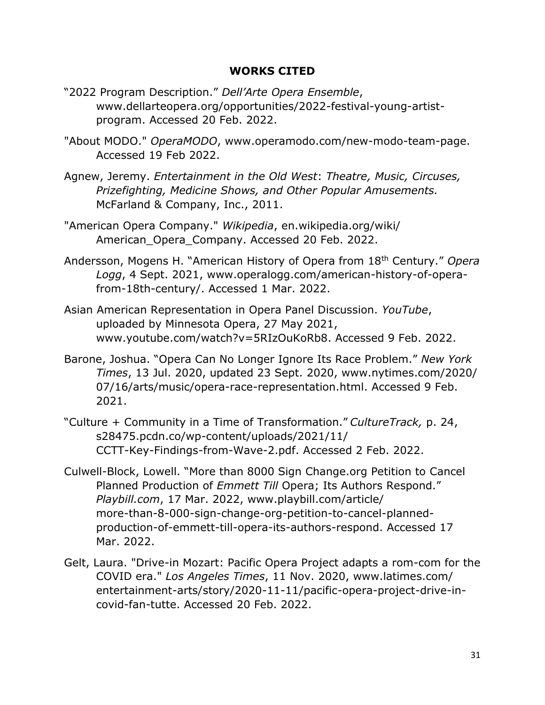# **WORKS CITED**

- "2022 Program Description." *Dell'Arte Opera Ensemble*, www.dellarteopera.org/opportunities/2022-festival-young-artistprogram. Accessed 20 Feb. 2022.
- "About MODO." *OperaMODO*, www.operamodo.com/new-modo-team-page. Accessed 19 Feb 2022.
- Agnew, Jeremy. *Entertainment in the Old West*: *Theatre, Music, Circuses, Prizefighting, Medicine Shows, and Other Popular Amusements.*  McFarland & Company, Inc., 2011.
- "American Opera Company." *Wikipedia*, en.wikipedia.org/wiki/ American Opera Company. Accessed 20 Feb. 2022.
- Andersson, Mogens H. "American History of Opera from 18th Century." *Opera Logg*, 4 Sept. 2021, www.operalogg.com/american-history-of-operafrom-18th-century/. Accessed 1 Mar. 2022.
- Asian American Representation in Opera Panel Discussion. *YouTube*, uploaded by Minnesota Opera, 27 May 2021, www.youtube.com/watch?v=5RIzOuKoRb8. Accessed 9 Feb. 2022.
- Barone, Joshua. "Opera Can No Longer Ignore Its Race Problem." *New York Times*, 13 Jul. 2020, updated 23 Sept. 2020, www.nytimes.com/2020/ 07/16/arts/music/opera-race-representation.html. Accessed 9 Feb. 2021.
- "Culture + Community in a Time of Transformation." *CultureTrack,* p. 24, s28475.pcdn.co/wp-content/uploads/2021/11/ CCTT-Key-Findings-from-Wave-2.pdf. Accessed 2 Feb. 2022.
- Culwell-Block, Lowell. "More than 8000 Sign Change.org Petition to Cancel Planned Production of *Emmett Till* Opera; Its Authors Respond." *Playbill.com*, 17 Mar. 2022, www.playbill.com/article/ more-than-8-000-sign-change-org-petition-to-cancel-plannedproduction-of-emmett-till-opera-its-authors-respond. Accessed 17 Mar. 2022.
- Gelt, Laura. "Drive-in Mozart: Pacific Opera Project adapts a rom-com for the COVID era." *Los Angeles Times*, 11 Nov. 2020, www.latimes.com/ entertainment-arts/story/2020-11-11/pacific-opera-project-drive-incovid-fan-tutte. Accessed 20 Feb. 2022.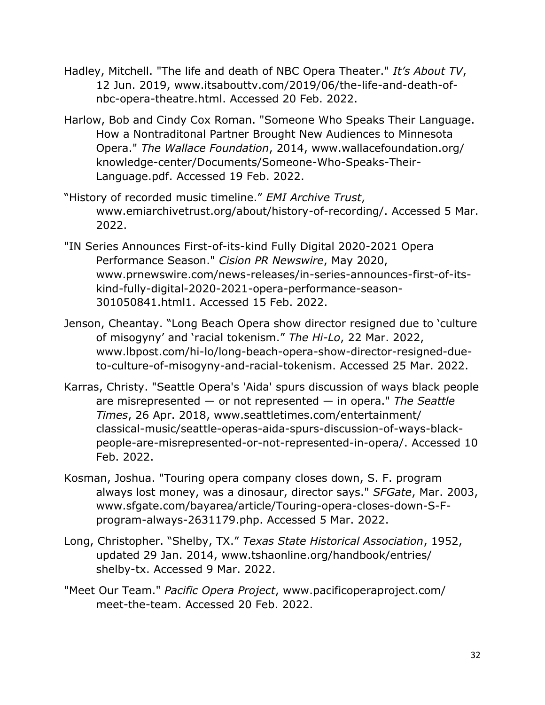- Hadley, Mitchell. "The life and death of NBC Opera Theater." *It's About TV*, 12 Jun. 2019, www.itsabouttv.com/2019/06/the-life-and-death-ofnbc-opera-theatre.html. Accessed 20 Feb. 2022.
- Harlow, Bob and Cindy Cox Roman. "Someone Who Speaks Their Language. How a Nontraditonal Partner Brought New Audiences to Minnesota Opera." *The Wallace Foundation*, 2014, www.wallacefoundation.org/ knowledge-center/Documents/Someone-Who-Speaks-Their-Language.pdf. Accessed 19 Feb. 2022.
- "History of recorded music timeline." *EMI Archive Trust*, www.emiarchivetrust.org/about/history-of-recording/. Accessed 5 Mar. 2022.
- "IN Series Announces First-of-its-kind Fully Digital 2020-2021 Opera Performance Season." *Cision PR Newswire*, May 2020, www.prnewswire.com/news-releases/in-series-announces-first-of-itskind-fully-digital-2020-2021-opera-performance-season-301050841.html1. Accessed 15 Feb. 2022.
- Jenson, Cheantay. "Long Beach Opera show director resigned due to 'culture of misogyny' and 'racial tokenism." *The Hi-Lo*, 22 Mar. 2022, www.lbpost.com/hi-lo/long-beach-opera-show-director-resigned-dueto-culture-of-misogyny-and-racial-tokenism. Accessed 25 Mar. 2022.
- Karras, Christy. "Seattle Opera's 'Aida' spurs discussion of ways black people are misrepresented — or not represented — in opera." *The Seattle Times*, 26 Apr. 2018, www.seattletimes.com/entertainment/ classical-music/seattle-operas-aida-spurs-discussion-of-ways-blackpeople-are-misrepresented-or-not-represented-in-opera/. Accessed 10 Feb. 2022.
- Kosman, Joshua. "Touring opera company closes down, S. F. program always lost money, was a dinosaur, director says." *SFGate*, Mar. 2003, www.sfgate.com/bayarea/article/Touring-opera-closes-down-S-Fprogram-always-2631179.php. Accessed 5 Mar. 2022.
- Long, Christopher. "Shelby, TX." *Texas State Historical Association*, 1952, updated 29 Jan. 2014, www.tshaonline.org/handbook/entries/ shelby-tx. Accessed 9 Mar. 2022.
- "Meet Our Team." *Pacific Opera Project*, www.pacificoperaproject.com/ meet-the-team. Accessed 20 Feb. 2022.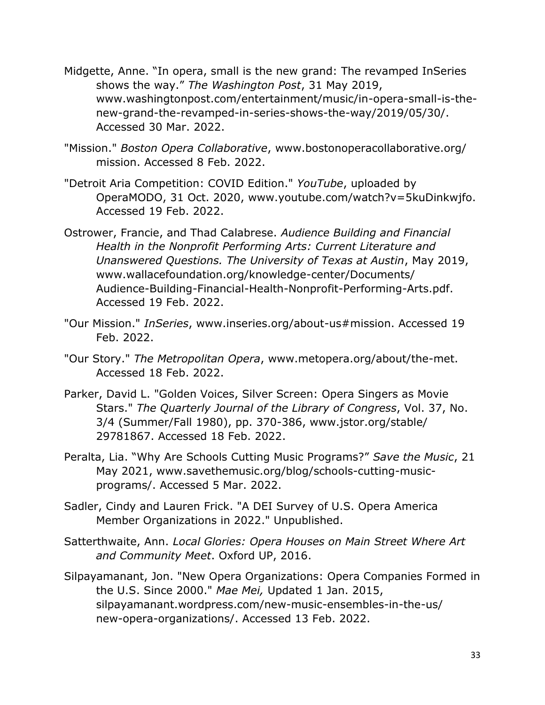- Midgette, Anne. "In opera, small is the new grand: The revamped InSeries shows the way." *The Washington Post*, 31 May 2019, www.washingtonpost.com/entertainment/music/in-opera-small-is-thenew-grand-the-revamped-in-series-shows-the-way/2019/05/30/. Accessed 30 Mar. 2022.
- "Mission." *Boston Opera Collaborative*, www.bostonoperacollaborative.org/ mission. Accessed 8 Feb. 2022.
- "Detroit Aria Competition: COVID Edition." *YouTube*, uploaded by OperaMODO, 31 Oct. 2020, www.youtube.com/watch?v=5kuDinkwjfo. Accessed 19 Feb. 2022.
- Ostrower, Francie, and Thad Calabrese. *Audience Building and Financial Health in the Nonprofit Performing Arts: Current Literature and Unanswered Questions. The University of Texas at Austin*, May 2019, www.wallacefoundation.org/knowledge-center/Documents/ Audience-Building-Financial-Health-Nonprofit-Performing-Arts.pdf. Accessed 19 Feb. 2022.
- "Our Mission." *InSeries*, www.inseries.org/about-us#mission. Accessed 19 Feb. 2022.
- "Our Story." *The Metropolitan Opera*, www.metopera.org/about/the-met. Accessed 18 Feb. 2022.
- Parker, David L. "Golden Voices, Silver Screen: Opera Singers as Movie Stars." *The Quarterly Journal of the Library of Congress*, Vol. 37, No. 3/4 (Summer/Fall 1980), pp. 370-386, www.jstor.org/stable/ 29781867. Accessed 18 Feb. 2022.
- Peralta, Lia. "Why Are Schools Cutting Music Programs?" *Save the Music*, 21 May 2021, www.savethemusic.org/blog/schools-cutting-musicprograms/. Accessed 5 Mar. 2022.
- Sadler, Cindy and Lauren Frick. "A DEI Survey of U.S. Opera America Member Organizations in 2022." Unpublished.
- Satterthwaite, Ann. *Local Glories: Opera Houses on Main Street Where Art and Community Meet*. Oxford UP, 2016.
- Silpayamanant, Jon. "New Opera Organizations: Opera Companies Formed in the U.S. Since 2000." *Mae Mei,* Updated 1 Jan. 2015, silpayamanant.wordpress.com/new-music-ensembles-in-the-us/ new-opera-organizations/. Accessed 13 Feb. 2022.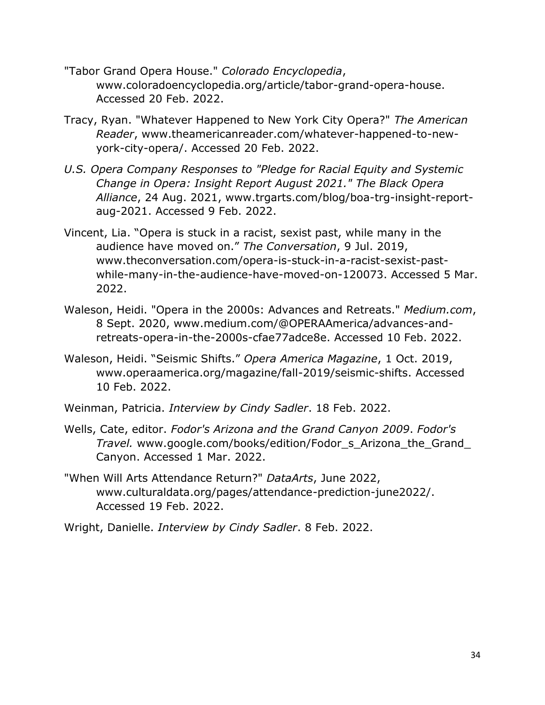- "Tabor Grand Opera House." *Colorado Encyclopedia*, www.coloradoencyclopedia.org/article/tabor-grand-opera-house. Accessed 20 Feb. 2022.
- Tracy, Ryan. "Whatever Happened to New York City Opera?" *The American Reader*, www.theamericanreader.com/whatever-happened-to-newyork-city-opera/. Accessed 20 Feb. 2022.
- *U.S. Opera Company Responses to "Pledge for Racial Equity and Systemic Change in Opera: Insight Report August 2021." The Black Opera Alliance*, 24 Aug. 2021, www.trgarts.com/blog/boa-trg-insight-reportaug-2021. Accessed 9 Feb. 2022.
- Vincent, Lia. "Opera is stuck in a racist, sexist past, while many in the audience have moved on." *The Conversation*, 9 Jul. 2019, www.theconversation.com/opera-is-stuck-in-a-racist-sexist-pastwhile-many-in-the-audience-have-moved-on-120073. Accessed 5 Mar. 2022.
- Waleson, Heidi. "Opera in the 2000s: Advances and Retreats." *Medium.com*, 8 Sept. 2020, www.medium.com/@OPERAAmerica/advances-andretreats-opera-in-the-2000s-cfae77adce8e. Accessed 10 Feb. 2022.
- Waleson, Heidi. "Seismic Shifts." *Opera America Magazine*, 1 Oct. 2019, www.operaamerica.org/magazine/fall-2019/seismic-shifts. Accessed 10 Feb. 2022.
- Weinman, Patricia. *Interview by Cindy Sadler*. 18 Feb. 2022.
- Wells, Cate, editor. *Fodor's Arizona and the Grand Canyon 2009*. *Fodor's Travel.* www.google.com/books/edition/Fodor\_s\_Arizona\_the\_Grand\_ Canyon. Accessed 1 Mar. 2022.
- "When Will Arts Attendance Return?" *DataArts*, June 2022, www.culturaldata.org/pages/attendance-prediction-june2022/. Accessed 19 Feb. 2022.
- Wright, Danielle. *Interview by Cindy Sadler*. 8 Feb. 2022.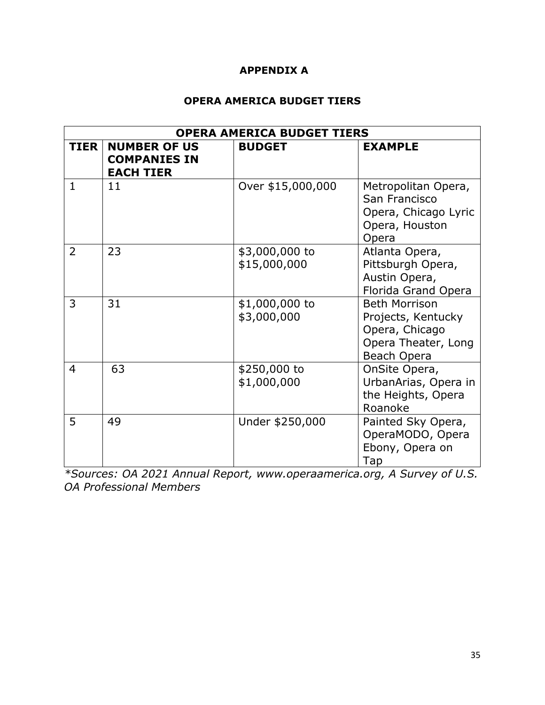# **APPENDIX A**

# **OPERA AMERICA BUDGET TIERS**

| <b>OPERA AMERICA BUDGET TIERS</b> |                                                                |                                |                                                                                                    |
|-----------------------------------|----------------------------------------------------------------|--------------------------------|----------------------------------------------------------------------------------------------------|
| <b>TIER</b>                       | <b>NUMBER OF US</b><br><b>COMPANIES IN</b><br><b>EACH TIER</b> | <b>BUDGET</b>                  | <b>EXAMPLE</b>                                                                                     |
| $\mathbf{1}$                      | 11                                                             | Over \$15,000,000              | Metropolitan Opera,<br>San Francisco<br>Opera, Chicago Lyric<br>Opera, Houston<br>Opera            |
| 2                                 | 23                                                             | \$3,000,000 to<br>\$15,000,000 | Atlanta Opera,<br>Pittsburgh Opera,<br>Austin Opera,<br>Florida Grand Opera                        |
| 3                                 | 31                                                             | \$1,000,000 to<br>\$3,000,000  | <b>Beth Morrison</b><br>Projects, Kentucky<br>Opera, Chicago<br>Opera Theater, Long<br>Beach Opera |
| 4                                 | 63                                                             | \$250,000 to<br>\$1,000,000    | OnSite Opera,<br>UrbanArias, Opera in<br>the Heights, Opera<br>Roanoke                             |
| 5                                 | 49                                                             | Under \$250,000                | Painted Sky Opera,<br>OperaMODO, Opera<br>Ebony, Opera on<br>Tap                                   |

*\*Sources: OA 2021 Annual Report, www.operaamerica.org, A Survey of U.S. OA Professional Members*